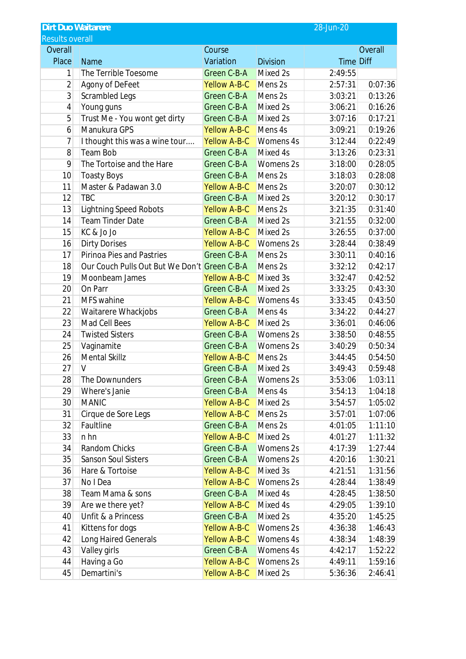|                        | <b>Dirt Duo Waitarere</b><br>28-Jun-20       |                     |                 |                  |         |  |  |  |  |  |
|------------------------|----------------------------------------------|---------------------|-----------------|------------------|---------|--|--|--|--|--|
| <b>Results overall</b> |                                              |                     |                 |                  |         |  |  |  |  |  |
| Overall                |                                              | Course              |                 | Overall          |         |  |  |  |  |  |
| <b>Place</b>           | <b>Name</b>                                  | Variation           | <b>Division</b> | <b>Time Diff</b> |         |  |  |  |  |  |
| 1                      | The Terrible Toesome                         | Green C-B-A         | Mixed 2s        | 2:49:55          |         |  |  |  |  |  |
| $\overline{2}$         | Agony of DeFeet                              | <b>Yellow A-B-C</b> | Mens 2s         | 2:57:31          | 0:07:36 |  |  |  |  |  |
| 3                      | Scrambled Legs                               | Green C-B-A         | Mens 2s         | 3:03:21          | 0:13:26 |  |  |  |  |  |
| 4                      | Young guns                                   | Green C-B-A         | Mixed 2s        | 3:06:21          | 0:16:26 |  |  |  |  |  |
| 5                      | Trust Me - You wont get dirty                | Green C-B-A         | Mixed 2s        | 3:07:16          | 0:17:21 |  |  |  |  |  |
| 6                      | Manukura GPS                                 | <b>Yellow A-B-C</b> | Mens 4s         | 3:09:21          | 0:19:26 |  |  |  |  |  |
| 7                      | I thought this was a wine tour               | <b>Yellow A-B-C</b> | Womens 4s       | 3:12:44          | 0:22:49 |  |  |  |  |  |
| 8                      | Team Bob                                     | Green C-B-A         | Mixed 4s        | 3:13:26          | 0:23:31 |  |  |  |  |  |
| 9                      | The Tortoise and the Hare                    | Green C-B-A         | Womens 2s       | 3:18:00          | 0:28:05 |  |  |  |  |  |
| 10                     | <b>Toasty Boys</b>                           | Green C-B-A         | Mens 2s         | 3:18:03          | 0:28:08 |  |  |  |  |  |
| 11                     | Master & Padawan 3.0                         | <b>Yellow A-B-C</b> | Mens 2s         | 3:20:07          | 0:30:12 |  |  |  |  |  |
| 12                     | <b>TBC</b>                                   | Green C-B-A         | Mixed 2s        | 3:20:12          | 0:30:17 |  |  |  |  |  |
| 13                     | <b>Lightning Speed Robots</b>                | <b>Yellow A-B-C</b> | Mens 2s         | 3:21:35          | 0:31:40 |  |  |  |  |  |
| 14                     | <b>Team Tinder Date</b>                      | Green C-B-A         | Mixed 2s        | 3:21:55          | 0:32:00 |  |  |  |  |  |
| 15                     | KC & Jo Jo                                   | <b>Yellow A-B-C</b> | Mixed 2s        | 3:26:55          | 0:37:00 |  |  |  |  |  |
| 16                     | <b>Dirty Dorises</b>                         | <b>Yellow A-B-C</b> | Womens 2s       | 3:28:44          | 0:38:49 |  |  |  |  |  |
| 17                     | <b>Pirinoa Pies and Pastries</b>             | Green C-B-A         | Mens 2s         | 3:30:11          | 0:40:16 |  |  |  |  |  |
| 18                     | Our Couch Pulls Out But We Don't Green C-B-A |                     | Mens 2s         | 3:32:12          | 0:42:17 |  |  |  |  |  |
| 19                     | Moonbeam James                               | <b>Yellow A-B-C</b> | Mixed 3s        | 3:32:47          | 0:42:52 |  |  |  |  |  |
| 20                     | On Parr                                      | Green C-B-A         | Mixed 2s        | 3:33:25          | 0:43:30 |  |  |  |  |  |
| 21                     | MFS wahine                                   | <b>Yellow A-B-C</b> | Womens 4s       | 3:33:45          | 0:43:50 |  |  |  |  |  |
| 22                     | Waitarere Whackjobs                          | Green C-B-A         | Mens 4s         | 3:34:22          | 0:44:27 |  |  |  |  |  |
| 23                     | Mad Cell Bees                                | <b>Yellow A-B-C</b> | Mixed 2s        | 3:36:01          | 0:46:06 |  |  |  |  |  |
| 24                     | <b>Twisted Sisters</b>                       | Green C-B-A         | Womens 2s       | 3:38:50          | 0:48:55 |  |  |  |  |  |
| 25                     | Vaginamite                                   | Green C-B-A         | Womens 2s       | 3:40:29          | 0:50:34 |  |  |  |  |  |
| 26                     | <b>Mental Skillz</b>                         | <b>Yellow A-B-C</b> | Mens 2s         | 3:44:45          | 0:54:50 |  |  |  |  |  |
| 27                     | $\vee$                                       | Green C-B-A         | Mixed 2s        | 3:49:43          | 0:59:48 |  |  |  |  |  |
| 28                     | The Downunders                               | Green C-B-A         | Womens 2s       | 3:53:06          | 1:03:11 |  |  |  |  |  |
| 29                     | Where's Janie                                | Green C-B-A         | Mens 4s         | 3:54:13          | 1:04:18 |  |  |  |  |  |
| 30                     | <b>MANIC</b>                                 | <b>Yellow A-B-C</b> | Mixed 2s        | 3:54:57          | 1:05:02 |  |  |  |  |  |
| 31                     | Cirque de Sore Legs                          | <b>Yellow A-B-C</b> | Mens 2s         | 3:57:01          | 1:07:06 |  |  |  |  |  |
| 32                     | Faultline                                    | Green C-B-A         | Mens 2s         | 4:01:05          | 1:11:10 |  |  |  |  |  |
| 33                     | n hn                                         | <b>Yellow A-B-C</b> | Mixed 2s        | 4:01:27          | 1:11:32 |  |  |  |  |  |
| 34                     | Random Chicks                                | Green C-B-A         | Womens 2s       | 4:17:39          | 1:27:44 |  |  |  |  |  |
| 35                     | <b>Sanson Soul Sisters</b>                   | Green C-B-A         | Womens 2s       | 4:20:16          | 1:30:21 |  |  |  |  |  |
| 36                     | Hare & Tortoise                              | <b>Yellow A-B-C</b> | Mixed 3s        | 4:21:51          | 1:31:56 |  |  |  |  |  |
| 37                     | No I Dea                                     | <b>Yellow A-B-C</b> | Womens 2s       | 4:28:44          | 1:38:49 |  |  |  |  |  |
| 38                     | Team Mama & sons                             | Green C-B-A         | Mixed 4s        | 4:28:45          | 1:38:50 |  |  |  |  |  |
| 39                     | Are we there yet?                            | <b>Yellow A-B-C</b> | Mixed 4s        | 4:29:05          | 1:39:10 |  |  |  |  |  |
| 40                     | Unfit & a Princess                           | Green C-B-A         | Mixed 2s        | 4:35:20          | 1:45:25 |  |  |  |  |  |
| 41                     | Kittens for dogs                             | <b>Yellow A-B-C</b> | Womens 2s       | 4:36:38          | 1:46:43 |  |  |  |  |  |
| 42                     | Long Haired Generals                         | <b>Yellow A-B-C</b> | Womens 4s       | 4:38:34          | 1:48:39 |  |  |  |  |  |
| 43                     | Valley girls                                 | Green C-B-A         | Womens 4s       | 4:42:17          | 1:52:22 |  |  |  |  |  |
| 44                     | Having a Go                                  | <b>Yellow A-B-C</b> | Womens 2s       | 4:49:11          | 1:59:16 |  |  |  |  |  |
| 45                     | Demartini's                                  | <b>Yellow A-B-C</b> | Mixed 2s        | 5:36:36          | 2:46:41 |  |  |  |  |  |